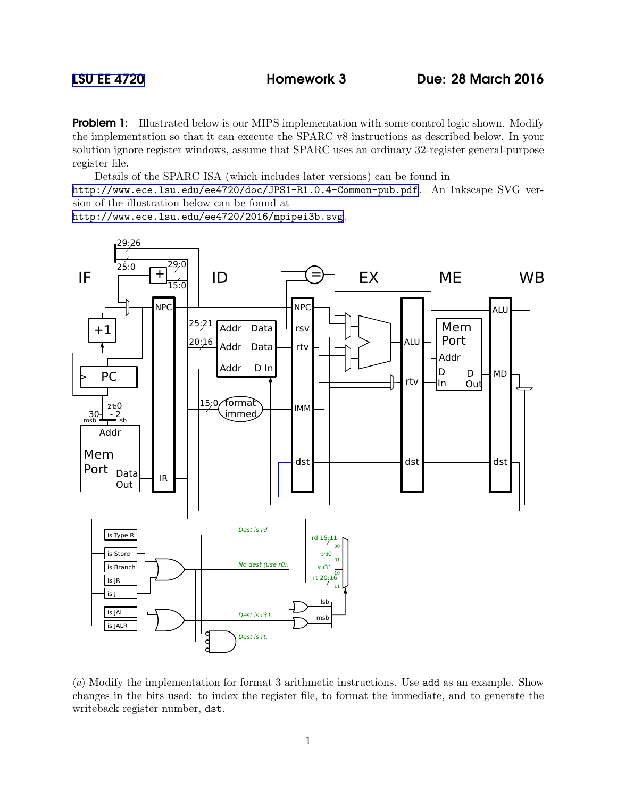**Problem 1:** Illustrated below is our MIPS implementation with some control logic shown. Modify the implementation so that it can execute the SPARC v8 instructions as described below. In your solution ignore register windows, assume that SPARC uses an ordinary 32-register general-purpose register file.

Details of the SPARC ISA (which includes later versions) can be found in <http://www.ece.lsu.edu/ee4720/doc/JPS1-R1.0.4-Common-pub.pdf>. An Inkscape SVG version of the illustration below can be found at

<http://www.ece.lsu.edu/ee4720/2016/mpipei3b.svg>.



(a) Modify the implementation for format 3 arithmetic instructions. Use add as an example. Show changes in the bits used: to index the register file, to format the immediate, and to generate the writeback register number, dst.